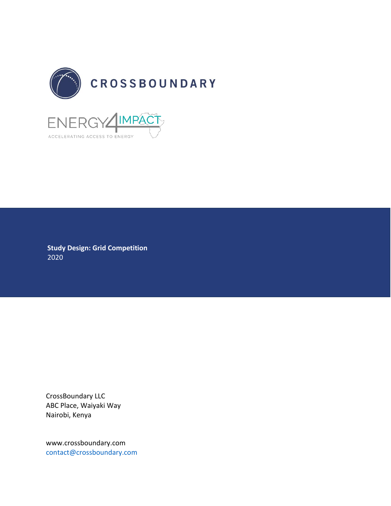

**Study Design: Grid Competition** 2020

ACCELERATING ACCESS TO ENERGY

CrossBoundary LLC ABC Place, Waiyaki Way Nairobi, Kenya

www.crossboundary.com [contact@crossboundary.com](mailto:contact@crossboundary.co)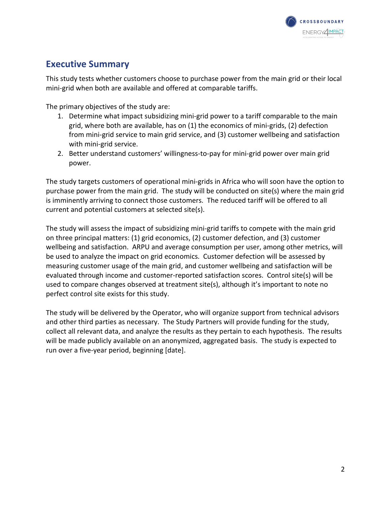

# **Executive Summary**

This study tests whether customers choose to purchase power from the main grid or their local mini-grid when both are available and offered at comparable tariffs.

The primary objectives of the study are:

- 1. Determine what impact subsidizing mini-grid power to a tariff comparable to the main grid, where both are available, has on (1) the economics of mini-grids, (2) defection from mini-grid service to main grid service, and (3) customer wellbeing and satisfaction with mini-grid service.
- 2. Better understand customers' willingness-to-pay for mini-grid power over main grid power.

The study targets customers of operational mini-grids in Africa who will soon have the option to purchase power from the main grid. The study will be conducted on site(s) where the main grid is imminently arriving to connect those customers. The reduced tariff will be offered to all current and potential customers at selected site(s).

The study will assess the impact of subsidizing mini-grid tariffs to compete with the main grid on three principal matters: (1) grid economics, (2) customer defection, and (3) customer wellbeing and satisfaction. ARPU and average consumption per user, among other metrics, will be used to analyze the impact on grid economics. Customer defection will be assessed by measuring customer usage of the main grid, and customer wellbeing and satisfaction will be evaluated through income and customer-reported satisfaction scores. Control site(s) will be used to compare changes observed at treatment site(s), although it's important to note no perfect control site exists for this study.

The study will be delivered by the Operator, who will organize support from technical advisors and other third parties as necessary. The Study Partners will provide funding for the study, collect all relevant data, and analyze the results as they pertain to each hypothesis. The results will be made publicly available on an anonymized, aggregated basis. The study is expected to run over a five-year period, beginning [date].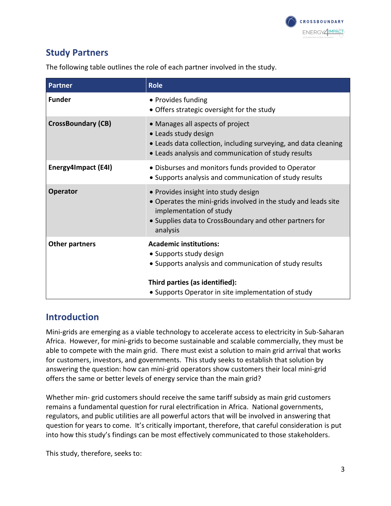

# **Study Partners**

The following table outlines the role of each partner involved in the study.

| <b>Partner</b>            | <b>Role</b>                                                                                                                                                                                              |
|---------------------------|----------------------------------------------------------------------------------------------------------------------------------------------------------------------------------------------------------|
| <b>Funder</b>             | • Provides funding<br>• Offers strategic oversight for the study                                                                                                                                         |
| <b>CrossBoundary (CB)</b> | • Manages all aspects of project<br>• Leads study design<br>• Leads data collection, including surveying, and data cleaning<br>• Leads analysis and communication of study results                       |
| Energy4Impact (E4I)       | · Disburses and monitors funds provided to Operator<br>• Supports analysis and communication of study results                                                                                            |
| <b>Operator</b>           | • Provides insight into study design<br>• Operates the mini-grids involved in the study and leads site<br>implementation of study<br>• Supplies data to CrossBoundary and other partners for<br>analysis |
| <b>Other partners</b>     | <b>Academic institutions:</b><br>• Supports study design<br>• Supports analysis and communication of study results                                                                                       |
|                           | Third parties (as identified):<br>• Supports Operator in site implementation of study                                                                                                                    |

## **Introduction**

Mini-grids are emerging as a viable technology to accelerate access to electricity in Sub-Saharan Africa. However, for mini-grids to become sustainable and scalable commercially, they must be able to compete with the main grid. There must exist a solution to main grid arrival that works for customers, investors, and governments. This study seeks to establish that solution by answering the question: how can mini-grid operators show customers their local mini-grid offers the same or better levels of energy service than the main grid?

Whether min- grid customers should receive the same tariff subsidy as main grid customers remains a fundamental question for rural electrification in Africa. National governments, regulators, and public utilities are all powerful actors that will be involved in answering that question for years to come. It's critically important, therefore, that careful consideration is put into how this study's findings can be most effectively communicated to those stakeholders.

This study, therefore, seeks to: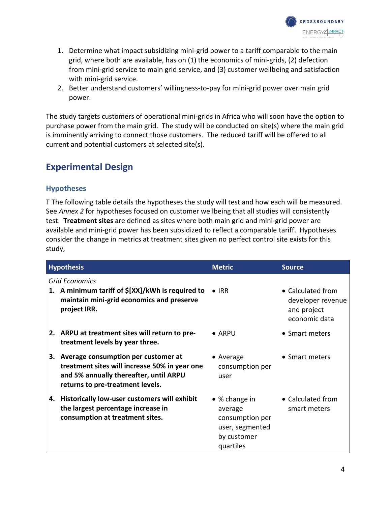

- 1. Determine what impact subsidizing mini-grid power to a tariff comparable to the main grid, where both are available, has on (1) the economics of mini-grids, (2) defection from mini-grid service to main grid service, and (3) customer wellbeing and satisfaction with mini-grid service.
- 2. Better understand customers' willingness-to-pay for mini-grid power over main grid power.

The study targets customers of operational mini-grids in Africa who will soon have the option to purchase power from the main grid. The study will be conducted on site(s) where the main grid is imminently arriving to connect those customers. The reduced tariff will be offered to all current and potential customers at selected site(s).

## **Experimental Design**

#### **Hypotheses**

T The following table details the hypotheses the study will test and how each will be measured. See *Annex 2* for hypotheses focused on customer wellbeing that all studies will consistently test. **Treatment sites** are defined as sites where both main grid and mini-grid power are available and mini-grid power has been subsidized to reflect a comparable tariff. Hypotheses consider the change in metrics at treatment sites given no perfect control site exists for this study,

|    | <b>Hypothesis</b>                                                                                                                                                     | <b>Metric</b>                                                                                      | <b>Source</b>                                                          |
|----|-----------------------------------------------------------------------------------------------------------------------------------------------------------------------|----------------------------------------------------------------------------------------------------|------------------------------------------------------------------------|
| 1. | <b>Grid Economics</b><br>A minimum tariff of $\frac{2}{3}$ [XX]/kWh is required to • IRR<br>maintain mini-grid economics and preserve<br>project IRR.                 |                                                                                                    | • Calculated from<br>developer revenue<br>and project<br>economic data |
|    | 2. ARPU at treatment sites will return to pre-<br>treatment levels by year three.                                                                                     | $\bullet$ ARPU                                                                                     | $\bullet$ Smart meters                                                 |
|    | 3. Average consumption per customer at<br>treatment sites will increase 50% in year one<br>and 5% annually thereafter, until ARPU<br>returns to pre-treatment levels. | $\bullet$ Average<br>consumption per<br>user                                                       | • Smart meters                                                         |
|    | 4. Historically low-user customers will exhibit<br>the largest percentage increase in<br>consumption at treatment sites.                                              | $\bullet$ % change in<br>average<br>consumption per<br>user, segmented<br>by customer<br>quartiles | • Calculated from<br>smart meters                                      |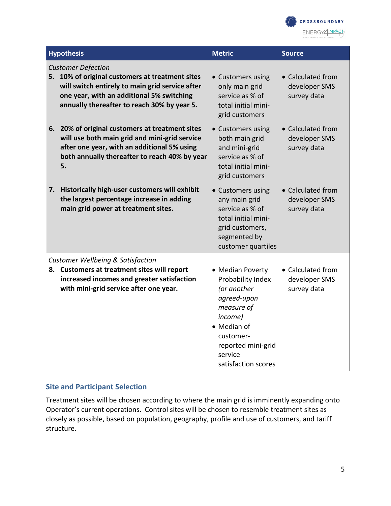

| <b>Hypothesis</b>                                                                                                                                                                                                           | <b>Metric</b>                                                                                                                                                                    | <b>Source</b>                                     |
|-----------------------------------------------------------------------------------------------------------------------------------------------------------------------------------------------------------------------------|----------------------------------------------------------------------------------------------------------------------------------------------------------------------------------|---------------------------------------------------|
| <b>Customer Defection</b><br>5. 10% of original customers at treatment sites<br>will switch entirely to main grid service after<br>one year, with an additional 5% switching<br>annually thereafter to reach 30% by year 5. | • Customers using<br>only main grid<br>service as % of<br>total initial mini-<br>grid customers                                                                                  | • Calculated from<br>developer SMS<br>survey data |
| 6. 20% of original customers at treatment sites<br>will use both main grid and mini-grid service<br>after one year, with an additional 5% using<br>both annually thereafter to reach 40% by year<br>5.                      | • Customers using<br>both main grid<br>and mini-grid<br>service as % of<br>total initial mini-<br>grid customers                                                                 | • Calculated from<br>developer SMS<br>survey data |
| Historically high-user customers will exhibit<br>7.<br>the largest percentage increase in adding<br>main grid power at treatment sites.                                                                                     | • Customers using<br>any main grid<br>service as % of<br>total initial mini-<br>grid customers,<br>segmented by<br>customer quartiles                                            | • Calculated from<br>developer SMS<br>survey data |
| <b>Customer Wellbeing &amp; Satisfaction</b><br>8. Customers at treatment sites will report<br>increased incomes and greater satisfaction<br>with mini-grid service after one year.                                         | • Median Poverty<br>Probability Index<br>(or another<br>agreed-upon<br>measure of<br>income)<br>• Median of<br>customer-<br>reported mini-grid<br>service<br>satisfaction scores | • Calculated from<br>developer SMS<br>survey data |

#### **Site and Participant Selection**

Treatment sites will be chosen according to where the main grid is imminently expanding onto Operator's current operations. Control sites will be chosen to resemble treatment sites as closely as possible, based on population, geography, profile and use of customers, and tariff structure.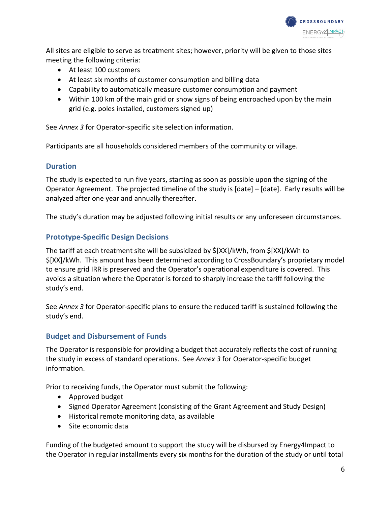

All sites are eligible to serve as treatment sites; however, priority will be given to those sites meeting the following criteria:

- At least 100 customers
- At least six months of customer consumption and billing data
- Capability to automatically measure customer consumption and payment
- Within 100 km of the main grid or show signs of being encroached upon by the main grid (e.g. poles installed, customers signed up)

See *Annex 3* for Operator-specific site selection information.

Participants are all households considered members of the community or village.

#### **Duration**

The study is expected to run five years, starting as soon as possible upon the signing of the Operator Agreement. The projected timeline of the study is [date] – [date]. Early results will be analyzed after one year and annually thereafter.

The study's duration may be adjusted following initial results or any unforeseen circumstances.

#### **Prototype-Specific Design Decisions**

The tariff at each treatment site will be subsidized by \$[XX]/kWh, from \$[XX]/kWh to \$[XX]/kWh. This amount has been determined according to CrossBoundary's proprietary model to ensure grid IRR is preserved and the Operator's operational expenditure is covered. This avoids a situation where the Operator is forced to sharply increase the tariff following the study's end.

See *Annex 3* for Operator-specific plans to ensure the reduced tariff is sustained following the study's end.

#### **Budget and Disbursement of Funds**

The Operator is responsible for providing a budget that accurately reflects the cost of running the study in excess of standard operations. See *Annex 3* for Operator-specific budget information.

Prior to receiving funds, the Operator must submit the following:

- Approved budget
- Signed Operator Agreement (consisting of the Grant Agreement and Study Design)
- Historical remote monitoring data, as available
- Site economic data

Funding of the budgeted amount to support the study will be disbursed by Energy4Impact to the Operator in regular installments every six months for the duration of the study or until total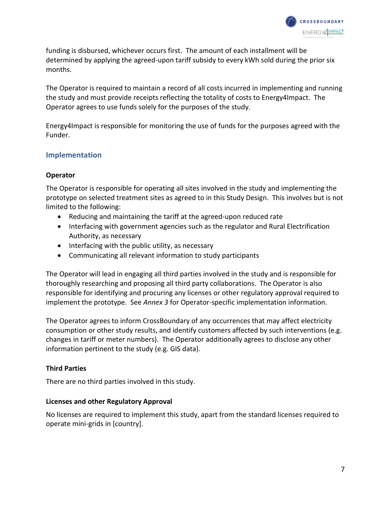

funding is disbursed, whichever occurs first. The amount of each installment will be determined by applying the agreed-upon tariff subsidy to every kWh sold during the prior six months.

The Operator is required to maintain a record of all costs incurred in implementing and running the study and must provide receipts reflecting the totality of costs to Energy4Impact. The Operator agrees to use funds solely for the purposes of the study.

Energy4Impact is responsible for monitoring the use of funds for the purposes agreed with the Funder.

#### **Implementation**

#### **Operator**

The Operator is responsible for operating all sites involved in the study and implementing the prototype on selected treatment sites as agreed to in this Study Design. This involves but is not limited to the following:

- Reducing and maintaining the tariff at the agreed-upon reduced rate
- Interfacing with government agencies such as the regulator and Rural Electrification Authority, as necessary
- Interfacing with the public utility, as necessary
- Communicating all relevant information to study participants

The Operator will lead in engaging all third parties involved in the study and is responsible for thoroughly researching and proposing all third party collaborations. The Operator is also responsible for identifying and procuring any licenses or other regulatory approval required to implement the prototype. See *Annex 3* for Operator-specific implementation information.

The Operator agrees to inform CrossBoundary of any occurrences that may affect electricity consumption or other study results, and identify customers affected by such interventions (e.g. changes in tariff or meter numbers). The Operator additionally agrees to disclose any other information pertinent to the study (e.g. GIS data).

#### **Third Parties**

There are no third parties involved in this study.

#### **Licenses and other Regulatory Approval**

No licenses are required to implement this study, apart from the standard licenses required to operate mini-grids in [country].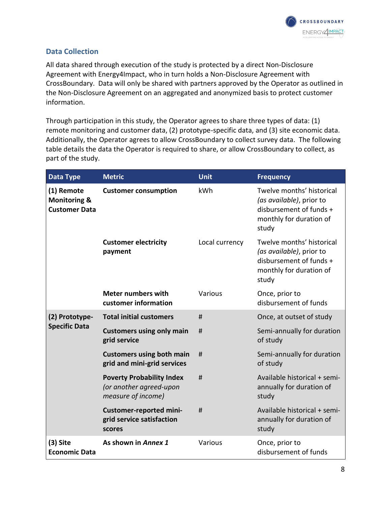

#### **Data Collection**

All data shared through execution of the study is protected by a direct Non-Disclosure Agreement with Energy4Impact, who in turn holds a Non-Disclosure Agreement with CrossBoundary. Data will only be shared with partners approved by the Operator as outlined in the Non-Disclosure Agreement on an aggregated and anonymized basis to protect customer information.

Through participation in this study, the Operator agrees to share three types of data: (1) remote monitoring and customer data, (2) prototype-specific data, and (3) site economic data. Additionally, the Operator agrees to allow CrossBoundary to collect survey data. The following table details the data the Operator is required to share, or allow CrossBoundary to collect, as part of the study.

| Data Type                                                     | <b>Metric</b>                                                                     | <b>Unit</b>    | <b>Frequency</b>                                                                                                     |
|---------------------------------------------------------------|-----------------------------------------------------------------------------------|----------------|----------------------------------------------------------------------------------------------------------------------|
| (1) Remote<br><b>Monitoring &amp;</b><br><b>Customer Data</b> | <b>Customer consumption</b>                                                       | kWh            | Twelve months' historical<br>(as available), prior to<br>disbursement of funds +<br>monthly for duration of<br>study |
|                                                               | <b>Customer electricity</b><br>payment                                            | Local currency | Twelve months' historical<br>(as available), prior to<br>disbursement of funds +<br>monthly for duration of<br>study |
|                                                               | <b>Meter numbers with</b><br>customer information                                 | Various        | Once, prior to<br>disbursement of funds                                                                              |
| (2) Prototype-                                                | <b>Total initial customers</b>                                                    | #              | Once, at outset of study                                                                                             |
| <b>Specific Data</b>                                          | <b>Customers using only main</b><br>grid service                                  | #              | Semi-annually for duration<br>of study                                                                               |
|                                                               | <b>Customers using both main</b><br>grid and mini-grid services                   | #              | Semi-annually for duration<br>of study                                                                               |
|                                                               | <b>Poverty Probability Index</b><br>(or another agreed-upon<br>measure of income) | #              | Available historical + semi-<br>annually for duration of<br>study                                                    |
|                                                               | <b>Customer-reported mini-</b><br>grid service satisfaction<br>scores             | #              | Available historical + semi-<br>annually for duration of<br>study                                                    |
| $(3)$ Site<br><b>Economic Data</b>                            | As shown in Annex 1                                                               | Various        | Once, prior to<br>disbursement of funds                                                                              |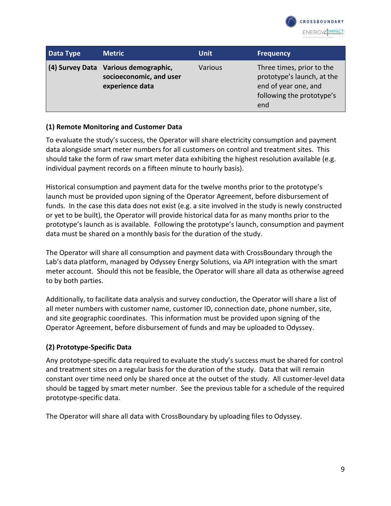

| Data Type | <b>Metric</b>                                                                      | <b>Unit</b>    | <b>Frequency</b>                                                                                                    |
|-----------|------------------------------------------------------------------------------------|----------------|---------------------------------------------------------------------------------------------------------------------|
|           | (4) Survey Data Various demographic,<br>socioeconomic, and user<br>experience data | <b>Various</b> | Three times, prior to the<br>prototype's launch, at the<br>end of year one, and<br>following the prototype's<br>end |

#### **(1) Remote Monitoring and Customer Data**

To evaluate the study's success, the Operator will share electricity consumption and payment data alongside smart meter numbers for all customers on control and treatment sites. This should take the form of raw smart meter data exhibiting the highest resolution available (e.g. individual payment records on a fifteen minute to hourly basis).

Historical consumption and payment data for the twelve months prior to the prototype's launch must be provided upon signing of the Operator Agreement, before disbursement of funds. In the case this data does not exist (e.g. a site involved in the study is newly constructed or yet to be built), the Operator will provide historical data for as many months prior to the prototype's launch as is available. Following the prototype's launch, consumption and payment data must be shared on a monthly basis for the duration of the study.

The Operator will share all consumption and payment data with CrossBoundary through the Lab's data platform, managed by Odyssey Energy Solutions, via API integration with the smart meter account. Should this not be feasible, the Operator will share all data as otherwise agreed to by both parties.

Additionally, to facilitate data analysis and survey conduction, the Operator will share a list of all meter numbers with customer name, customer ID, connection date, phone number, site, and site geographic coordinates. This information must be provided upon signing of the Operator Agreement, before disbursement of funds and may be uploaded to Odyssey.

#### **(2) Prototype-Specific Data**

Any prototype-specific data required to evaluate the study's success must be shared for control and treatment sites on a regular basis for the duration of the study. Data that will remain constant over time need only be shared once at the outset of the study. All customer-level data should be tagged by smart meter number. See the previous table for a schedule of the required prototype-specific data.

The Operator will share all data with CrossBoundary by uploading files to Odyssey.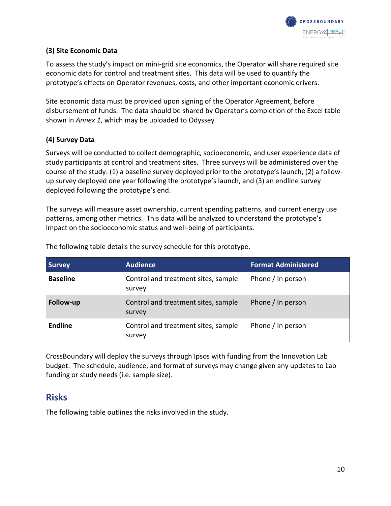

#### **(3) Site Economic Data**

To assess the study's impact on mini-grid site economics, the Operator will share required site economic data for control and treatment sites. This data will be used to quantify the prototype's effects on Operator revenues, costs, and other important economic drivers.

Site economic data must be provided upon signing of the Operator Agreement, before disbursement of funds. The data should be shared by Operator's completion of the Excel table shown in *Annex 1*, which may be uploaded to Odyssey

#### **(4) Survey Data**

Surveys will be conducted to collect demographic, socioeconomic, and user experience data of study participants at control and treatment sites. Three surveys will be administered over the course of the study: (1) a baseline survey deployed prior to the prototype's launch, (2) a followup survey deployed one year following the prototype's launch, and (3) an endline survey deployed following the prototype's end.

The surveys will measure asset ownership, current spending patterns, and current energy use patterns, among other metrics. This data will be analyzed to understand the prototype's impact on the socioeconomic status and well-being of participants.

| <b>Survey</b>   | <b>Audience</b>                               | <b>Format Administered</b> |
|-----------------|-----------------------------------------------|----------------------------|
| <b>Baseline</b> | Control and treatment sites, sample<br>survey | Phone / In person          |
| Follow-up       | Control and treatment sites, sample<br>survey | Phone / In person          |
| <b>Endline</b>  | Control and treatment sites, sample<br>survey | Phone / In person          |

The following table details the survey schedule for this prototype.

CrossBoundary will deploy the surveys through Ipsos with funding from the Innovation Lab budget. The schedule, audience, and format of surveys may change given any updates to Lab funding or study needs (i.e. sample size).

## **Risks**

The following table outlines the risks involved in the study.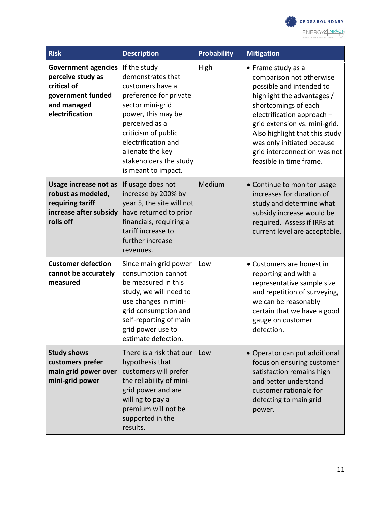

| <b>Risk</b>                                                                                                                        | <b>Description</b>                                                                                                                                                                                                                             | <b>Probability</b> | <b>Mitigation</b>                                                                                                                                                                                                                                                                                                          |
|------------------------------------------------------------------------------------------------------------------------------------|------------------------------------------------------------------------------------------------------------------------------------------------------------------------------------------------------------------------------------------------|--------------------|----------------------------------------------------------------------------------------------------------------------------------------------------------------------------------------------------------------------------------------------------------------------------------------------------------------------------|
| <b>Government agencies</b> If the study<br>perceive study as<br>critical of<br>government funded<br>and managed<br>electrification | demonstrates that<br>customers have a<br>preference for private<br>sector mini-grid<br>power, this may be<br>perceived as a<br>criticism of public<br>electrification and<br>alienate the key<br>stakeholders the study<br>is meant to impact. | High               | • Frame study as a<br>comparison not otherwise<br>possible and intended to<br>highlight the advantages /<br>shortcomings of each<br>electrification approach -<br>grid extension vs. mini-grid.<br>Also highlight that this study<br>was only initiated because<br>grid interconnection was not<br>feasible in time frame. |
| Usage increase not as<br>robust as modeled,<br>requiring tariff<br>increase after subsidy<br>rolls off                             | If usage does not<br>increase by 200% by<br>year 5, the site will not<br>have returned to prior<br>financials, requiring a<br>tariff increase to<br>further increase<br>revenues.                                                              | Medium             | • Continue to monitor usage<br>increases for duration of<br>study and determine what<br>subsidy increase would be<br>required. Assess if IRRs at<br>current level are acceptable.                                                                                                                                          |
| <b>Customer defection</b><br>cannot be accurately<br>measured                                                                      | Since main grid power<br>consumption cannot<br>be measured in this<br>study, we will need to<br>use changes in mini-<br>grid consumption and<br>self-reporting of main<br>grid power use to<br>estimate defection.                             | Low                | • Customers are honest in<br>reporting and with a<br>representative sample size<br>and repetition of surveying,<br>we can be reasonably<br>certain that we have a good<br>gauge on customer<br>defection.                                                                                                                  |
| <b>Study shows</b><br>customers prefer<br>main grid power over<br>mini-grid power                                                  | There is a risk that our Low<br>hypothesis that<br>customers will prefer<br>the reliability of mini-<br>grid power and are<br>willing to pay a<br>premium will not be<br>supported in the<br>results.                                          |                    | • Operator can put additional<br>focus on ensuring customer<br>satisfaction remains high<br>and better understand<br>customer rationale for<br>defecting to main grid<br>power.                                                                                                                                            |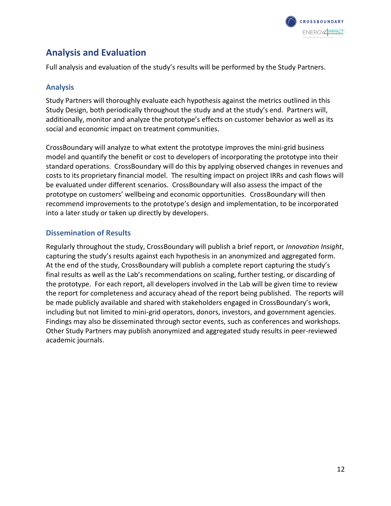

# **Analysis and Evaluation**

Full analysis and evaluation of the study's results will be performed by the Study Partners.

#### **Analysis**

Study Partners will thoroughly evaluate each hypothesis against the metrics outlined in this Study Design, both periodically throughout the study and at the study's end. Partners will, additionally, monitor and analyze the prototype's effects on customer behavior as well as its social and economic impact on treatment communities.

CrossBoundary will analyze to what extent the prototype improves the mini-grid business model and quantify the benefit or cost to developers of incorporating the prototype into their standard operations. CrossBoundary will do this by applying observed changes in revenues and costs to its proprietary financial model. The resulting impact on project IRRs and cash flows will be evaluated under different scenarios. CrossBoundary will also assess the impact of the prototype on customers' wellbeing and economic opportunities. CrossBoundary will then recommend improvements to the prototype's design and implementation, to be incorporated into a later study or taken up directly by developers.

#### **Dissemination of Results**

Regularly throughout the study, CrossBoundary will publish a brief report, or *Innovation Insight*, capturing the study's results against each hypothesis in an anonymized and aggregated form. At the end of the study, CrossBoundary will publish a complete report capturing the study's final results as well as the Lab's recommendations on scaling, further testing, or discarding of the prototype. For each report, all developers involved in the Lab will be given time to review the report for completeness and accuracy ahead of the report being published. The reports will be made publicly available and shared with stakeholders engaged in CrossBoundary's work, including but not limited to mini-grid operators, donors, investors, and government agencies. Findings may also be disseminated through sector events, such as conferences and workshops. Other Study Partners may publish anonymized and aggregated study results in peer-reviewed academic journals.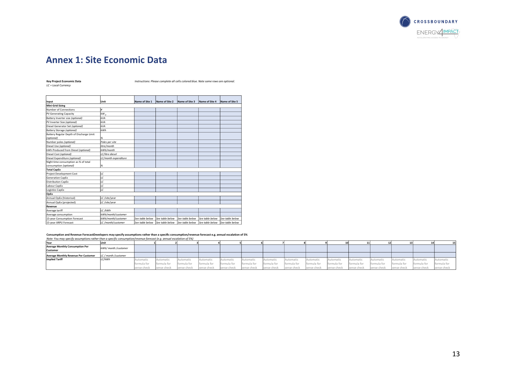

# **Annex 1: Site Economic Data**

| <b>Key Project Economic Data</b> |  |
|----------------------------------|--|
| LC = Local Currency              |  |

**Key Project Economic Data** *Instructions: Please complete all cells colored blue. Note some rows are optional.*

| Input                                    | Unit                 | Name of Site 1  | Name of Site 2  | Name of Site 3                  | Name of Site 4  | Name of Site 5  |
|------------------------------------------|----------------------|-----------------|-----------------|---------------------------------|-----------------|-----------------|
| Mini-Grid Sizing                         |                      |                 |                 |                                 |                 |                 |
| <b>Number of Connections</b>             | #                    |                 |                 |                                 |                 |                 |
| PV Generating Capacity                   | kW,                  |                 |                 |                                 |                 |                 |
| Battery Inverter size (optional)         | <b>kVA</b>           |                 |                 |                                 |                 |                 |
| PV Inverter Size (optional)              | <b>kVA</b>           |                 |                 |                                 |                 |                 |
| Diesel Generator Set (optional)          | <b>kVA</b>           |                 |                 |                                 |                 |                 |
| Battery Storage (optional)               | kWh                  |                 |                 |                                 |                 |                 |
| Battery Regular Depth of Discharge Limit |                      |                 |                 |                                 |                 |                 |
| (optional)                               | %                    |                 |                 |                                 |                 |                 |
| Number poles (optional)                  | Poles per site       |                 |                 |                                 |                 |                 |
| Diesel Use (optional)                    | litre/month          |                 |                 |                                 |                 |                 |
| kWh Produced from Diesel (optional)      | kWh/month            |                 |                 |                                 |                 |                 |
| Diesel Cost (optional)                   | LC/litre diesel      |                 |                 |                                 |                 |                 |
| Diesel Expenditure (optional)            | LC/month expenditure |                 |                 |                                 |                 |                 |
| Night time consumption as % of total     |                      |                 |                 |                                 |                 |                 |
| consumption (optional)                   | %                    |                 |                 |                                 |                 |                 |
| <b>Total CapEx</b>                       |                      |                 |                 |                                 |                 |                 |
| Project Development Cost                 | LC                   |                 |                 |                                 |                 |                 |
| Generation CapEx                         | LC                   |                 |                 |                                 |                 |                 |
| Distribution CapEx                       | LC                   |                 |                 |                                 |                 |                 |
| Labour CapEx                             | LC                   |                 |                 |                                 |                 |                 |
| Logistics CapEx                          | LC                   |                 |                 |                                 |                 |                 |
| <b>OpEx</b>                              |                      |                 |                 |                                 |                 |                 |
| Annual OpEx (historical)                 | LC/site/year         |                 |                 |                                 |                 |                 |
| Annual OpEx (projected)                  | LC/site/year         |                 |                 |                                 |                 |                 |
| Revenue                                  |                      |                 |                 |                                 |                 |                 |
| Average tariff                           | LC /kWh              |                 |                 |                                 |                 |                 |
| Average consumption                      | kWh/month/customer   |                 |                 |                                 |                 |                 |
| 15-year Consumption Forecast             | kWh/month/customer   | See table below | See table below | See table below                 | See table below | See table below |
| 15-year ARPU Forecast                    | LC /month/customer   | See table below | See table below | See table below See table below |                 | See table below |

Consumption and Revenue ForecastDevelopers may specify assumptions rather than a specific consumption/revenue forecast e.g. annual escalation of 5%<br>Note: You may specify assumptions rather than a specific consumption/reven

|                                             | wote. Tou may specify assumptions future than a specific consumption/revenue forecast fe.g. unnual esculation of J767 |             |             |             |             |             |             |             |             |             |             |             |              |             |             |             |
|---------------------------------------------|-----------------------------------------------------------------------------------------------------------------------|-------------|-------------|-------------|-------------|-------------|-------------|-------------|-------------|-------------|-------------|-------------|--------------|-------------|-------------|-------------|
| Year                                        |                                                                                                                       |             |             |             |             |             |             |             |             |             |             |             |              |             |             |             |
| <b>Average Monthly Consumption Per</b>      | kWh/ month /customer                                                                                                  |             |             |             |             |             |             |             |             |             |             |             |              |             |             |             |
| Customer                                    |                                                                                                                       |             |             |             |             |             |             |             |             |             |             |             |              |             |             |             |
| <b>Average Monthly Revenue Per Customer</b> | LC / month /customer                                                                                                  |             |             |             |             |             |             |             |             |             |             |             |              |             |             |             |
| Implied Tariff                              | LC/kWh                                                                                                                | Automatic   | Automatic   | Automatic   | Automatic   | Automatic   | Automatic   | Automatic   | Automatic   | Automatic   | Automatic   | Automatic   | Automatic    | Automatic   | Automatic   | Automatic   |
|                                             |                                                                                                                       | formula for | formula for | formula for | formula for | formula for | formula for | formula for | formula for | formula for | formula for | formula for | lformula for | formula for | formula for | formula for |
|                                             |                                                                                                                       | sense check | sense check | sense check | sense check | sense check | sense check | sense check | sense check | sense check | sense check | sense check | sense check  | sense check | sense check | sense check |

13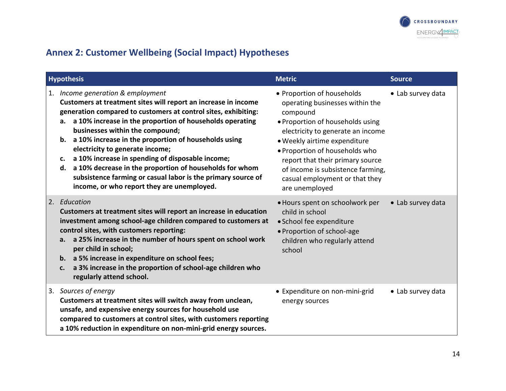

# **Annex 2: Customer Wellbeing (Social Impact) Hypotheses**

| <b>Hypothesis</b>                                                                                                                                                                                                                                                                                                                                                                                                                                                                                                                                                                                                    | <b>Metric</b>                                                                                                                                                                                                                                                                                                                                     | <b>Source</b>     |
|----------------------------------------------------------------------------------------------------------------------------------------------------------------------------------------------------------------------------------------------------------------------------------------------------------------------------------------------------------------------------------------------------------------------------------------------------------------------------------------------------------------------------------------------------------------------------------------------------------------------|---------------------------------------------------------------------------------------------------------------------------------------------------------------------------------------------------------------------------------------------------------------------------------------------------------------------------------------------------|-------------------|
| 1. Income generation & employment<br>Customers at treatment sites will report an increase in income<br>generation compared to customers at control sites, exhibiting:<br>a 10% increase in the proportion of households operating<br>а.<br>businesses within the compound;<br>a 10% increase in the proportion of households using<br>b.<br>electricity to generate income;<br>a 10% increase in spending of disposable income;<br>c.<br>a 10% decrease in the proportion of households for whom<br>d.<br>subsistence farming or casual labor is the primary source of<br>income, or who report they are unemployed. | • Proportion of households<br>operating businesses within the<br>compound<br>• Proportion of households using<br>electricity to generate an income<br>· Weekly airtime expenditure<br>. Proportion of households who<br>report that their primary source<br>of income is subsistence farming,<br>casual employment or that they<br>are unemployed | • Lab survey data |
| 2. Education<br>Customers at treatment sites will report an increase in education<br>investment among school-age children compared to customers at<br>control sites, with customers reporting:<br>a 25% increase in the number of hours spent on school work<br>a.<br>per child in school;<br>a 5% increase in expenditure on school fees;<br>b.<br>a 3% increase in the proportion of school-age children who<br>c.<br>regularly attend school.                                                                                                                                                                     | • Hours spent on schoolwork per<br>child in school<br>• School fee expenditure<br>• Proportion of school-age<br>children who regularly attend<br>school                                                                                                                                                                                           | • Lab survey data |
| 3. Sources of energy<br>Customers at treatment sites will switch away from unclean,<br>unsafe, and expensive energy sources for household use<br>compared to customers at control sites, with customers reporting<br>a 10% reduction in expenditure on non-mini-grid energy sources.                                                                                                                                                                                                                                                                                                                                 | • Expenditure on non-mini-grid<br>energy sources                                                                                                                                                                                                                                                                                                  | • Lab survey data |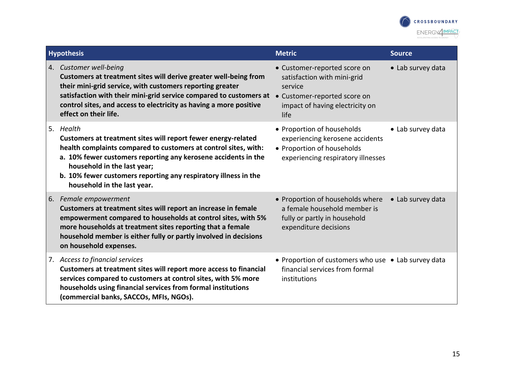

| <b>Hypothesis</b>                                                                                                                                                                                                                                                                                                                                | <b>Metric</b>                                                                                                                                     | <b>Source</b>     |
|--------------------------------------------------------------------------------------------------------------------------------------------------------------------------------------------------------------------------------------------------------------------------------------------------------------------------------------------------|---------------------------------------------------------------------------------------------------------------------------------------------------|-------------------|
| 4. Customer well-being<br>Customers at treatment sites will derive greater well-being from<br>their mini-grid service, with customers reporting greater<br>satisfaction with their mini-grid service compared to customers at<br>control sites, and access to electricity as having a more positive<br>effect on their life.                     | • Customer-reported score on<br>satisfaction with mini-grid<br>service<br>• Customer-reported score on<br>impact of having electricity on<br>life | • Lab survey data |
| 5. Health<br>Customers at treatment sites will report fewer energy-related<br>health complaints compared to customers at control sites, with:<br>a. 10% fewer customers reporting any kerosene accidents in the<br>household in the last year;<br>b. 10% fewer customers reporting any respiratory illness in the<br>household in the last year. | • Proportion of households<br>experiencing kerosene accidents<br>• Proportion of households<br>experiencing respiratory illnesses                 | • Lab survey data |
| 6. Female empowerment<br>Customers at treatment sites will report an increase in female<br>empowerment compared to households at control sites, with 5%<br>more households at treatment sites reporting that a female<br>household member is either fully or partly involved in decisions<br>on household expenses.                              | • Proportion of households where<br>a female household member is<br>fully or partly in household<br>expenditure decisions                         | • Lab survey data |
| 7. Access to financial services<br>Customers at treatment sites will report more access to financial<br>services compared to customers at control sites, with 5% more<br>households using financial services from formal institutions<br>(commercial banks, SACCOs, MFIs, NGOs).                                                                 | • Proportion of customers who use • Lab survey data<br>financial services from formal<br>institutions                                             |                   |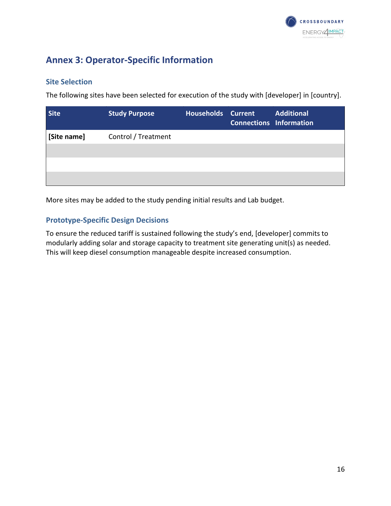

# **Annex 3: Operator-Specific Information**

#### **Site Selection**

The following sites have been selected for execution of the study with [developer] in [country].

| <b>Site</b> | <b>Study Purpose</b> | <b>Households Current</b> | <b>Connections Information</b> | <b>Additional</b> |
|-------------|----------------------|---------------------------|--------------------------------|-------------------|
| [Site name] | Control / Treatment  |                           |                                |                   |
|             |                      |                           |                                |                   |
|             |                      |                           |                                |                   |
|             |                      |                           |                                |                   |

More sites may be added to the study pending initial results and Lab budget.

#### **Prototype-Specific Design Decisions**

To ensure the reduced tariff is sustained following the study's end, [developer] commits to modularly adding solar and storage capacity to treatment site generating unit(s) as needed. This will keep diesel consumption manageable despite increased consumption.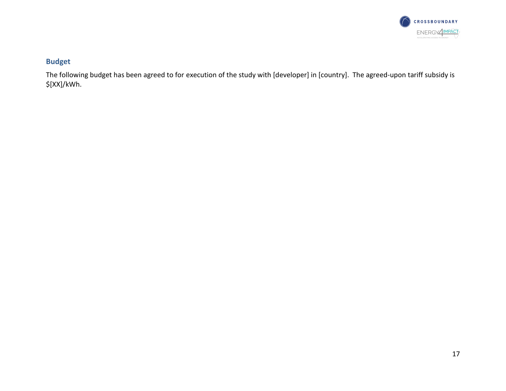

## **Budget**

The following budget has been agreed to for execution of the study with [developer] in [country]. The agreed-upon tariff subsidy is \$[XX]/kWh.